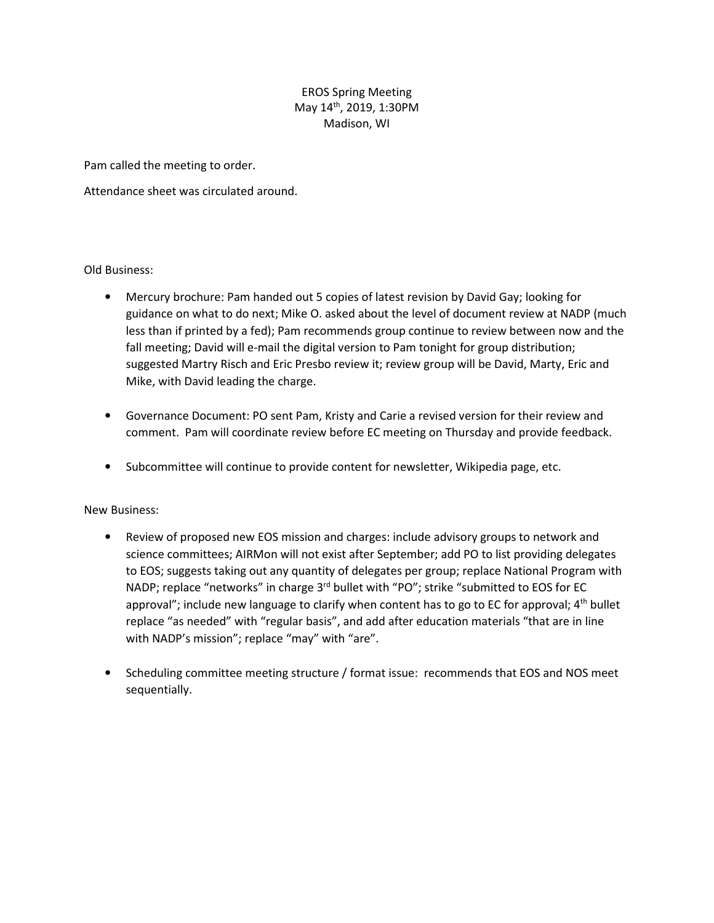## EROS Spring Meeting May 14th, 2019, 1:30PM Madison, WI

Pam called the meeting to order.

Attendance sheet was circulated around.

## Old Business:

- Mercury brochure: Pam handed out 5 copies of latest revision by David Gay; looking for guidance on what to do next; Mike O. asked about the level of document review at NADP (much less than if printed by a fed); Pam recommends group continue to review between now and the fall meeting; David will e-mail the digital version to Pam tonight for group distribution; suggested Martry Risch and Eric Presbo review it; review group will be David, Marty, Eric and Mike, with David leading the charge.
- Governance Document: PO sent Pam, Kristy and Carie a revised version for their review and comment. Pam will coordinate review before EC meeting on Thursday and provide feedback.
- Subcommittee will continue to provide content for newsletter, Wikipedia page, etc.

## New Business:

- Review of proposed new EOS mission and charges: include advisory groups to network and science committees; AIRMon will not exist after September; add PO to list providing delegates to EOS; suggests taking out any quantity of delegates per group; replace National Program with NADP; replace "networks" in charge  $3<sup>rd</sup>$  bullet with "PO"; strike "submitted to EOS for EC approval"; include new language to clarify when content has to go to EC for approval;  $4<sup>th</sup>$  bullet replace "as needed" with "regular basis", and add after education materials "that are in line with NADP's mission"; replace "may" with "are".
- Scheduling committee meeting structure / format issue: recommends that EOS and NOS meet sequentially.